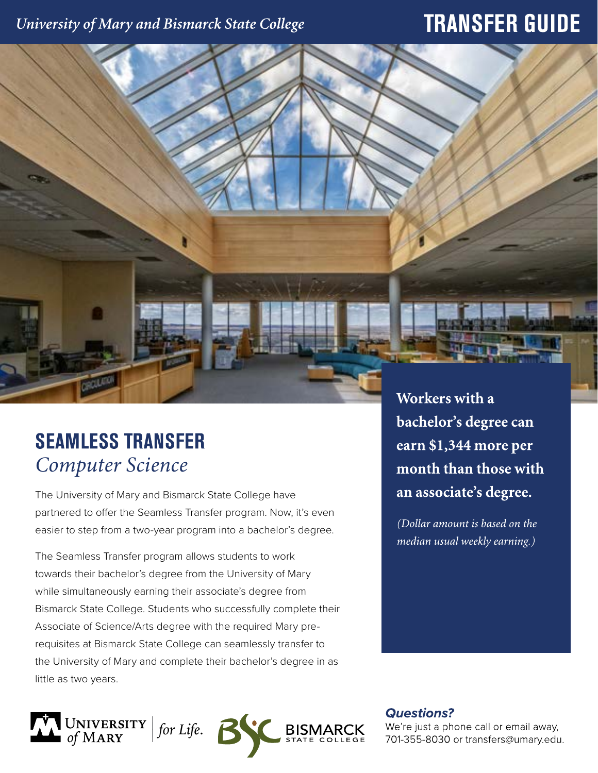# University of Mary and Bismarck State College

# **TRANSFER GUIDE**

# **SEAMLESS TRANSFER** *Computer Science*

The University of Mary and Bismarck State College have partnered to offer the Seamless Transfer program. Now, it's even easier to step from a two-year program into a bachelor's degree.

The Seamless Transfer program allows students to work towards their bachelor's degree from the University of Mary while simultaneously earning their associate's degree from Bismarck State College. Students who successfully complete their Associate of Science/Arts degree with the required Mary prerequisites at Bismarck State College can seamlessly transfer to the University of Mary and complete their bachelor's degree in as little as two years.



Workers with a bachelor's degree can earn \$1,344 more per month than those with an associate's degree.

(Dollar amount is based on the median usual weekly earning.)

**Questions?** 

We're just a phone call or email away, 701-355-8030 or transfers@umary.edu.